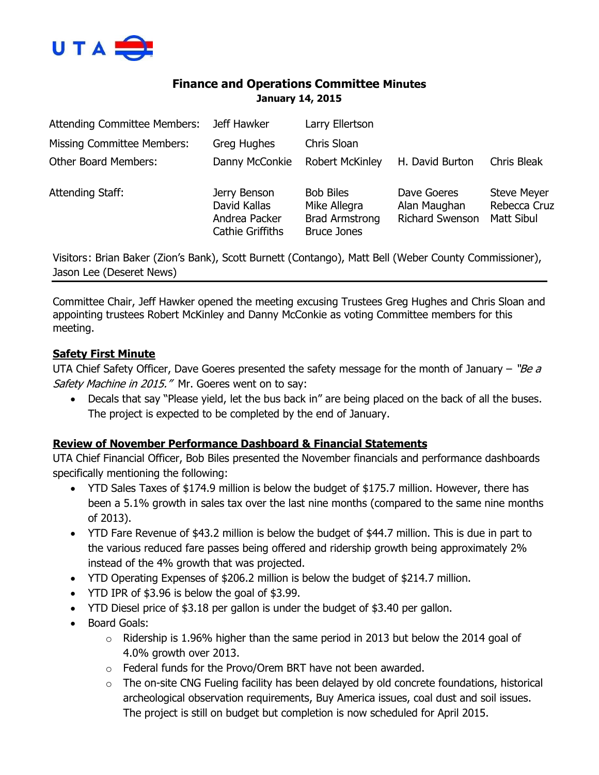

# **Finance and Operations Committee Minutes January 14, 2015**

| <b>Attending Committee Members:</b>                                                                   | Jeff Hawker                                                              | Larry Ellertson                                                                 |                                                |                                                  |
|-------------------------------------------------------------------------------------------------------|--------------------------------------------------------------------------|---------------------------------------------------------------------------------|------------------------------------------------|--------------------------------------------------|
| <b>Missing Committee Members:</b>                                                                     | Greg Hughes                                                              | Chris Sloan                                                                     |                                                |                                                  |
| <b>Other Board Members:</b>                                                                           | Danny McConkie                                                           | <b>Robert McKinley</b>                                                          | H. David Burton                                | Chris Bleak                                      |
| Attending Staff:                                                                                      | Jerry Benson<br>David Kallas<br>Andrea Packer<br><b>Cathie Griffiths</b> | <b>Bob Biles</b><br>Mike Allegra<br><b>Brad Armstrong</b><br><b>Bruce Jones</b> | Dave Goeres<br>Alan Maughan<br>Richard Swenson | <b>Steve Meyer</b><br>Rebecca Cruz<br>Matt Sibul |
| Visitors: Brian Baker (Zion's Bank), Scott Burnett (Contango), Matt Bell (Weber County Commissioner), |                                                                          |                                                                                 |                                                |                                                  |

Jason Lee (Deseret News)

Committee Chair, Jeff Hawker opened the meeting excusing Trustees Greg Hughes and Chris Sloan and appointing trustees Robert McKinley and Danny McConkie as voting Committee members for this meeting.

### **Safety First Minute**

UTA Chief Safety Officer, Dave Goeres presented the safety message for the month of January – " $Be$  a Safety Machine in 2015." Mr. Goeres went on to say:

 Decals that say "Please yield, let the bus back in" are being placed on the back of all the buses. The project is expected to be completed by the end of January.

### **Review of November Performance Dashboard & Financial Statements**

UTA Chief Financial Officer, Bob Biles presented the November financials and performance dashboards specifically mentioning the following:

- YTD Sales Taxes of \$174.9 million is below the budget of \$175.7 million. However, there has been a 5.1% growth in sales tax over the last nine months (compared to the same nine months of 2013).
- YTD Fare Revenue of \$43.2 million is below the budget of \$44.7 million. This is due in part to the various reduced fare passes being offered and ridership growth being approximately 2% instead of the 4% growth that was projected.
- YTD Operating Expenses of \$206.2 million is below the budget of \$214.7 million.
- YTD IPR of \$3.96 is below the goal of \$3.99.
- YTD Diesel price of \$3.18 per gallon is under the budget of \$3.40 per gallon.
- Board Goals:
	- $\circ$  Ridership is 1.96% higher than the same period in 2013 but below the 2014 goal of 4.0% growth over 2013.
	- o Federal funds for the Provo/Orem BRT have not been awarded.
	- o The on-site CNG Fueling facility has been delayed by old concrete foundations, historical archeological observation requirements, Buy America issues, coal dust and soil issues. The project is still on budget but completion is now scheduled for April 2015.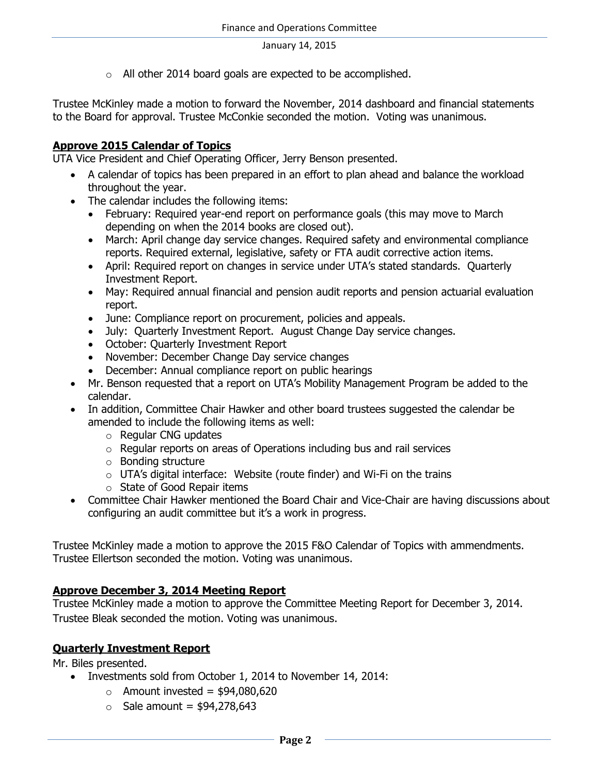January 14, 2015

o All other 2014 board goals are expected to be accomplished.

Trustee McKinley made a motion to forward the November, 2014 dashboard and financial statements to the Board for approval. Trustee McConkie seconded the motion. Voting was unanimous.

### **Approve 2015 Calendar of Topics**

UTA Vice President and Chief Operating Officer, Jerry Benson presented.

- A calendar of topics has been prepared in an effort to plan ahead and balance the workload throughout the year.
- The calendar includes the following items:
	- February: Required year-end report on performance goals (this may move to March depending on when the 2014 books are closed out).
	- March: April change day service changes. Required safety and environmental compliance reports. Required external, legislative, safety or FTA audit corrective action items.
	- April: Required report on changes in service under UTA's stated standards. Quarterly Investment Report.
	- May: Required annual financial and pension audit reports and pension actuarial evaluation report.
	- June: Compliance report on procurement, policies and appeals.
	- July: Quarterly Investment Report. August Change Day service changes.
	- October: Quarterly Investment Report
	- November: December Change Day service changes
	- December: Annual compliance report on public hearings
- Mr. Benson requested that a report on UTA's Mobility Management Program be added to the calendar.
- In addition, Committee Chair Hawker and other board trustees suggested the calendar be amended to include the following items as well:
	- o Regular CNG updates
	- o Regular reports on areas of Operations including bus and rail services
	- o Bonding structure
	- $\circ$  UTA's digital interface: Website (route finder) and Wi-Fi on the trains
	- o State of Good Repair items
- Committee Chair Hawker mentioned the Board Chair and Vice-Chair are having discussions about configuring an audit committee but it's a work in progress.

Trustee McKinley made a motion to approve the 2015 F&O Calendar of Topics with ammendments. Trustee Ellertson seconded the motion. Voting was unanimous.

### **Approve December 3, 2014 Meeting Report**

Trustee McKinley made a motion to approve the Committee Meeting Report for December 3, 2014. Trustee Bleak seconded the motion. Voting was unanimous.

### **Quarterly Investment Report**

Mr. Biles presented.

- Investments sold from October 1, 2014 to November 14, 2014:
	- $\circ$  Amount invested = \$94,080,620
	- $\circ$  Sale amount = \$94,278,643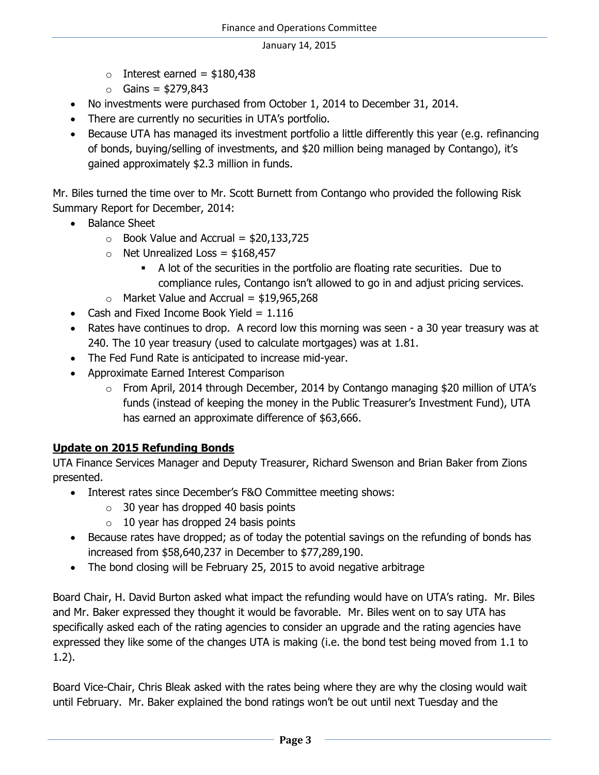#### January 14, 2015

- $\circ$  Interest earned = \$180,438
- $\circ$  Gains = \$279,843
- No investments were purchased from October 1, 2014 to December 31, 2014.
- There are currently no securities in UTA's portfolio.
- Because UTA has managed its investment portfolio a little differently this year (e.g. refinancing of bonds, buying/selling of investments, and \$20 million being managed by Contango), it's gained approximately \$2.3 million in funds.

Mr. Biles turned the time over to Mr. Scott Burnett from Contango who provided the following Risk Summary Report for December, 2014:

- Balance Sheet
	- $\circ$  Book Value and Accrual = \$20,133,725
	- $\circ$  Net Unrealized Loss = \$168,457
		- A lot of the securities in the portfolio are floating rate securities. Due to compliance rules, Contango isn't allowed to go in and adjust pricing services.
	- $\circ$  Market Value and Accrual = \$19,965,268
- Cash and Fixed Income Book Yield  $= 1.116$
- Rates have continues to drop. A record low this morning was seen a 30 year treasury was at 240. The 10 year treasury (used to calculate mortgages) was at 1.81.
- The Fed Fund Rate is anticipated to increase mid-year.
- Approximate Earned Interest Comparison
	- o From April, 2014 through December, 2014 by Contango managing \$20 million of UTA's funds (instead of keeping the money in the Public Treasurer's Investment Fund), UTA has earned an approximate difference of \$63,666.

# **Update on 2015 Refunding Bonds**

UTA Finance Services Manager and Deputy Treasurer, Richard Swenson and Brian Baker from Zions presented.

- Interest rates since December's F&O Committee meeting shows:
	- $\circ$  30 year has dropped 40 basis points
	- $\circ$  10 year has dropped 24 basis points
- Because rates have dropped; as of today the potential savings on the refunding of bonds has increased from \$58,640,237 in December to \$77,289,190.
- The bond closing will be February 25, 2015 to avoid negative arbitrage

Board Chair, H. David Burton asked what impact the refunding would have on UTA's rating. Mr. Biles and Mr. Baker expressed they thought it would be favorable. Mr. Biles went on to say UTA has specifically asked each of the rating agencies to consider an upgrade and the rating agencies have expressed they like some of the changes UTA is making (i.e. the bond test being moved from 1.1 to 1.2).

Board Vice-Chair, Chris Bleak asked with the rates being where they are why the closing would wait until February. Mr. Baker explained the bond ratings won't be out until next Tuesday and the